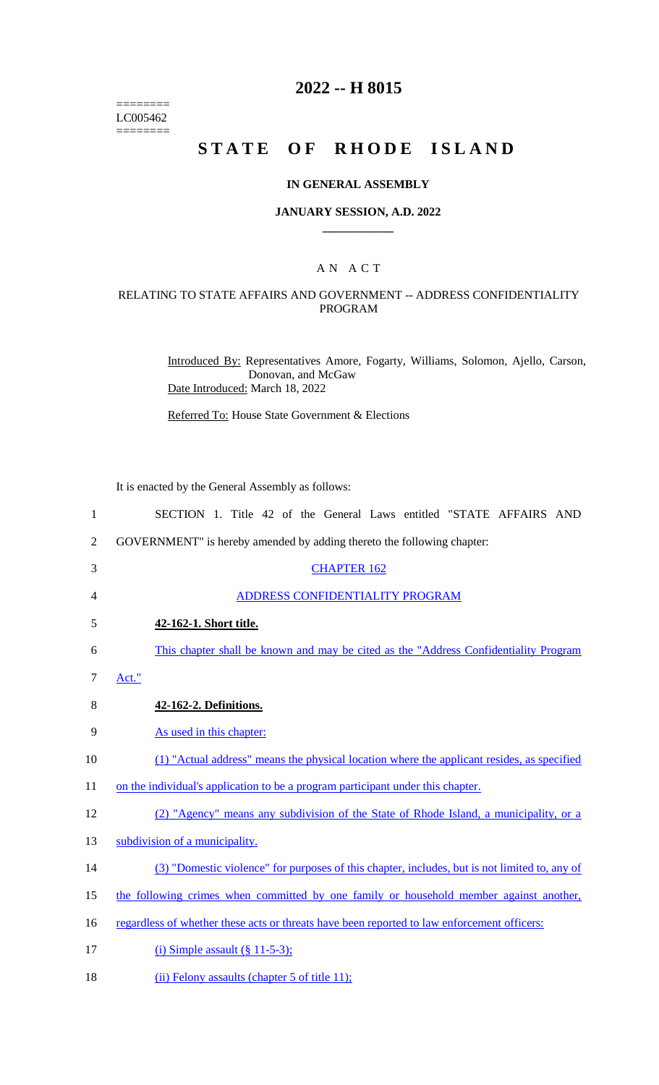======== LC005462  $=$ 

# **2022 -- H 8015**

# **STATE OF RHODE ISLAND**

#### **IN GENERAL ASSEMBLY**

#### **JANUARY SESSION, A.D. 2022 \_\_\_\_\_\_\_\_\_\_\_\_**

#### A N A C T

## RELATING TO STATE AFFAIRS AND GOVERNMENT -- ADDRESS CONFIDENTIALITY PROGRAM

Introduced By: Representatives Amore, Fogarty, Williams, Solomon, Ajello, Carson, Donovan, and McGaw Date Introduced: March 18, 2022

Referred To: House State Government & Elections

It is enacted by the General Assembly as follows:

| $\mathbf{1}$   | SECTION 1. Title 42 of the General Laws entitled "STATE AFFAIRS AND                           |  |  |  |  |  |  |  |
|----------------|-----------------------------------------------------------------------------------------------|--|--|--|--|--|--|--|
| $\overline{2}$ | GOVERNMENT" is hereby amended by adding thereto the following chapter:                        |  |  |  |  |  |  |  |
| 3              | <b>CHAPTER 162</b>                                                                            |  |  |  |  |  |  |  |
| 4              | ADDRESS CONFIDENTIALITY PROGRAM                                                               |  |  |  |  |  |  |  |
| 5              | 42-162-1. Short title.                                                                        |  |  |  |  |  |  |  |
| 6              | This chapter shall be known and may be cited as the "Address Confidentiality Program"         |  |  |  |  |  |  |  |
| 7              | Act."                                                                                         |  |  |  |  |  |  |  |
| 8              | 42-162-2. Definitions.                                                                        |  |  |  |  |  |  |  |
| 9              | As used in this chapter:                                                                      |  |  |  |  |  |  |  |
| 10             | (1) "Actual address" means the physical location where the applicant resides, as specified    |  |  |  |  |  |  |  |
| 11             | on the individual's application to be a program participant under this chapter.               |  |  |  |  |  |  |  |
| 12             | (2) "Agency" means any subdivision of the State of Rhode Island, a municipality, or a         |  |  |  |  |  |  |  |
| 13             | subdivision of a municipality.                                                                |  |  |  |  |  |  |  |
| 14             | (3) "Domestic violence" for purposes of this chapter, includes, but is not limited to, any of |  |  |  |  |  |  |  |
| 15             | the following crimes when committed by one family or household member against another,        |  |  |  |  |  |  |  |
| 16             | regardless of whether these acts or threats have been reported to law enforcement officers:   |  |  |  |  |  |  |  |
| 17             | (i) Simple assault $(\S 11-5-3)$ ;                                                            |  |  |  |  |  |  |  |

18 (ii) Felony assaults (chapter 5 of title 11);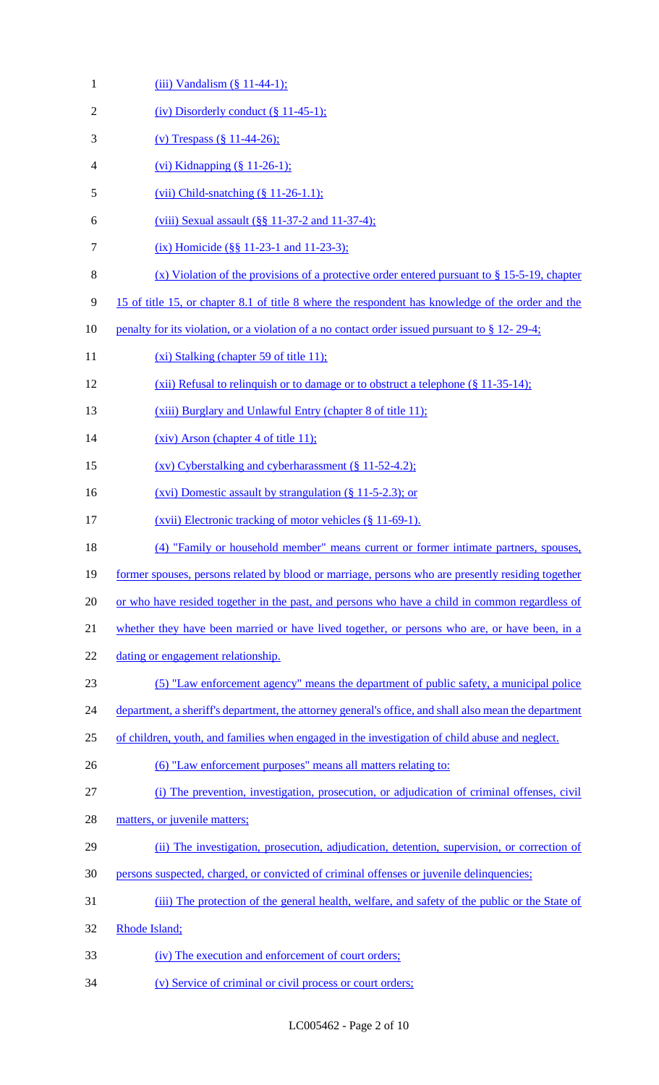| $\mathbf{1}$   | $(iii)$ Vandalism $(\S 11-44-1)$ ;                                                                    |  |  |  |  |  |  |
|----------------|-------------------------------------------------------------------------------------------------------|--|--|--|--|--|--|
| $\overline{2}$ | (iv) Disorderly conduct $(\S 11-45-1)$ ;                                                              |  |  |  |  |  |  |
| 3              | (v) Trespass $(\S 11-44-26)$ ;                                                                        |  |  |  |  |  |  |
| 4              | (vi) Kidnapping $(\S 11-26-1)$ ;                                                                      |  |  |  |  |  |  |
| 5              | (vii) Child-snatching $(\S 11-26-1.1)$ ;                                                              |  |  |  |  |  |  |
| 6              | (viii) Sexual assault $(\frac{8}{9} \times 11 - 37 - 2)$ and $11 - 37 - 4$ ;                          |  |  |  |  |  |  |
| 7              | (ix) Homicide (§§ 11-23-1 and 11-23-3);                                                               |  |  |  |  |  |  |
| 8              | (x) Violation of the provisions of a protective order entered pursuant to $\S 15-5-19$ , chapter      |  |  |  |  |  |  |
| 9              | 15 of title 15, or chapter 8.1 of title 8 where the respondent has knowledge of the order and the     |  |  |  |  |  |  |
| 10             | <u>penalty for its violation, or a violation of a no contact order issued pursuant to § 12-29-4;</u>  |  |  |  |  |  |  |
| 11             | (xi) Stalking (chapter 59 of title 11);                                                               |  |  |  |  |  |  |
| 12             | (xii) Refusal to relinquish or to damage or to obstruct a telephone $(\S 11-35-14)$ ;                 |  |  |  |  |  |  |
| 13             | (xiii) Burglary and Unlawful Entry (chapter 8 of title 11);                                           |  |  |  |  |  |  |
| 14             | $(xiv)$ Arson (chapter 4 of title 11);                                                                |  |  |  |  |  |  |
| 15             | $(xv)$ Cyberstalking and cyberharassment $(\S 11-52-4.2)$ ;                                           |  |  |  |  |  |  |
| 16             | $(xvi)$ Domestic assault by strangulation $(\S 11-5-2.3)$ ; or                                        |  |  |  |  |  |  |
| 17             | (xvii) Electronic tracking of motor vehicles (§ 11-69-1).                                             |  |  |  |  |  |  |
| 18             | (4) "Family or household member" means current or former intimate partners, spouses,                  |  |  |  |  |  |  |
| 19             | former spouses, persons related by blood or marriage, persons who are presently residing together     |  |  |  |  |  |  |
| 20             | or who have resided together in the past, and persons who have a child in common regardless of        |  |  |  |  |  |  |
| 21             | whether they have been married or have lived together, or persons who are, or have been, in a         |  |  |  |  |  |  |
| 22             | dating or engagement relationship.                                                                    |  |  |  |  |  |  |
| 23             | (5) "Law enforcement agency" means the department of public safety, a municipal police                |  |  |  |  |  |  |
| 24             | department, a sheriff's department, the attorney general's office, and shall also mean the department |  |  |  |  |  |  |
| 25             | of children, youth, and families when engaged in the investigation of child abuse and neglect.        |  |  |  |  |  |  |
| 26             | (6) "Law enforcement purposes" means all matters relating to:                                         |  |  |  |  |  |  |
| 27             | (i) The prevention, investigation, prosecution, or adjudication of criminal offenses, civil           |  |  |  |  |  |  |
| 28             | matters, or juvenile matters;                                                                         |  |  |  |  |  |  |
| 29             | (ii) The investigation, prosecution, adjudication, detention, supervision, or correction of           |  |  |  |  |  |  |
| 30             | persons suspected, charged, or convicted of criminal offenses or juvenile delinquencies;              |  |  |  |  |  |  |
| 31             | (iii) The protection of the general health, welfare, and safety of the public or the State of         |  |  |  |  |  |  |
| 32             | Rhode Island;                                                                                         |  |  |  |  |  |  |
| 33             | (iv) The execution and enforcement of court orders;                                                   |  |  |  |  |  |  |
| 34             | (v) Service of criminal or civil process or court orders;                                             |  |  |  |  |  |  |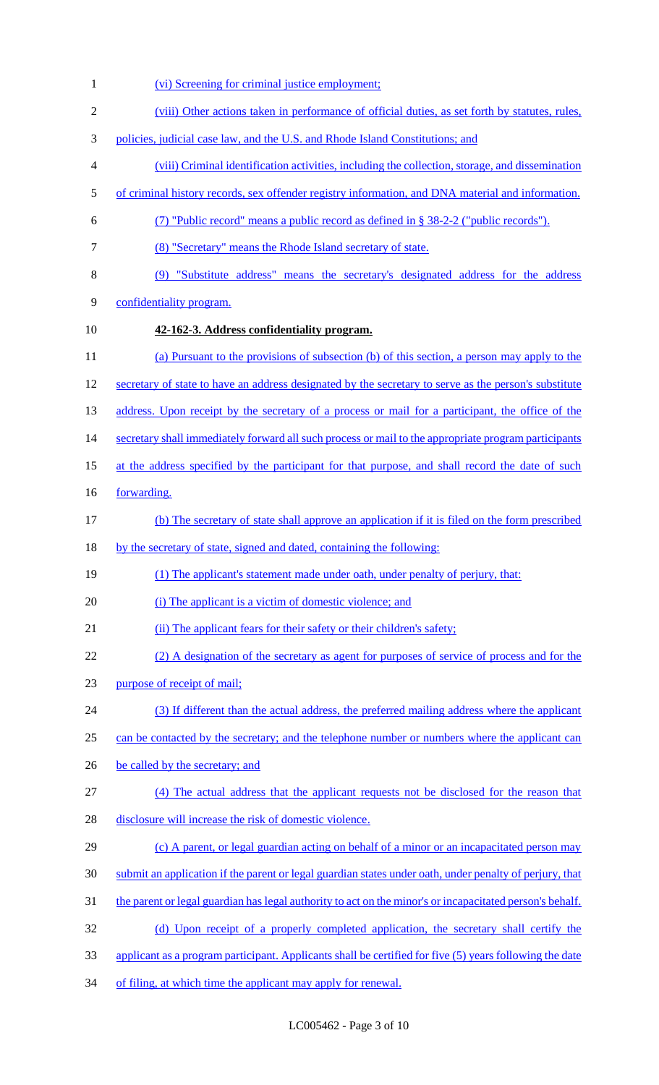(vi) Screening for criminal justice employment; (viii) Other actions taken in performance of official duties, as set forth by statutes, rules, policies, judicial case law, and the U.S. and Rhode Island Constitutions; and (viii) Criminal identification activities, including the collection, storage, and dissemination of criminal history records, sex offender registry information, and DNA material and information. (7) "Public record" means a public record as defined in § 38-2-2 ("public records"). (8) "Secretary" means the Rhode Island secretary of state. (9) "Substitute address" means the secretary's designated address for the address confidentiality program. **42-162-3. Address confidentiality program.**  (a) Pursuant to the provisions of subsection (b) of this section, a person may apply to the 12 secretary of state to have an address designated by the secretary to serve as the person's substitute 13 address. Upon receipt by the secretary of a process or mail for a participant, the office of the 14 secretary shall immediately forward all such process or mail to the appropriate program participants 15 at the address specified by the participant for that purpose, and shall record the date of such 16 <u>forwarding.</u> (b) The secretary of state shall approve an application if it is filed on the form prescribed by the secretary of state, signed and dated, containing the following: (1) The applicant's statement made under oath, under penalty of perjury, that: 20 (i) The applicant is a victim of domestic violence; and 21 (ii) The applicant fears for their safety or their children's safety; (2) A designation of the secretary as agent for purposes of service of process and for the purpose of receipt of mail; (3) If different than the actual address, the preferred mailing address where the applicant 25 can be contacted by the secretary; and the telephone number or numbers where the applicant can 26 be called by the secretary; and (4) The actual address that the applicant requests not be disclosed for the reason that disclosure will increase the risk of domestic violence. (c) A parent, or legal guardian acting on behalf of a minor or an incapacitated person may submit an application if the parent or legal guardian states under oath, under penalty of perjury, that 31 the parent or legal guardian has legal authority to act on the minor's or incapacitated person's behalf. (d) Upon receipt of a properly completed application, the secretary shall certify the applicant as a program participant. Applicants shall be certified for five (5) years following the date of filing, at which time the applicant may apply for renewal.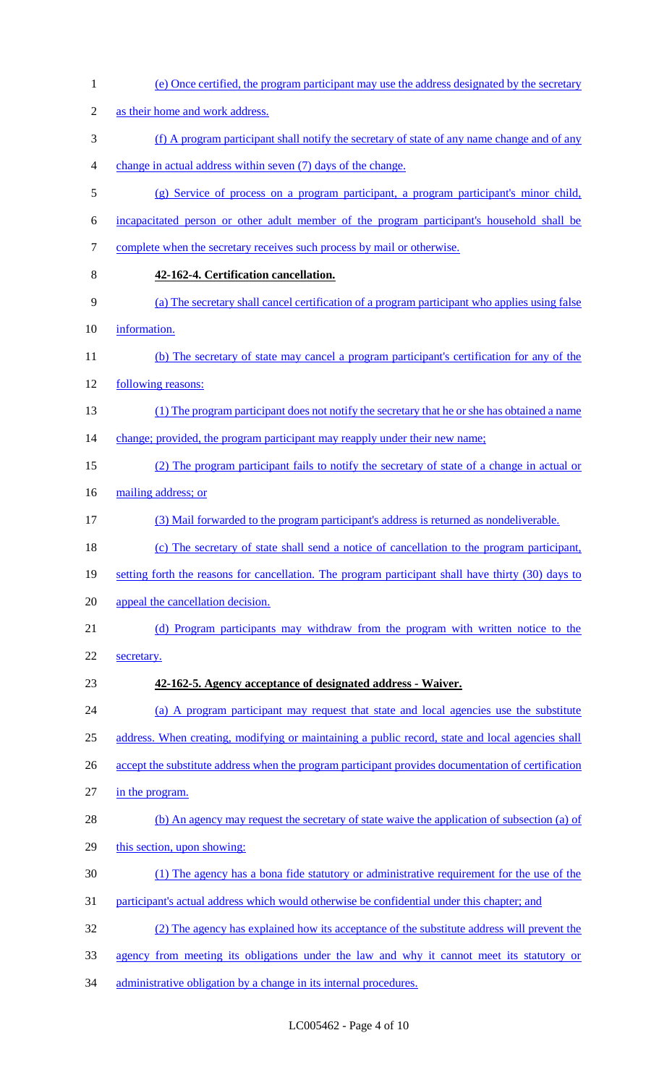| $\mathbf{1}$     | (e) Once certified, the program participant may use the address designated by the secretary        |
|------------------|----------------------------------------------------------------------------------------------------|
| $\sqrt{2}$       | as their home and work address.                                                                    |
| 3                | (f) A program participant shall notify the secretary of state of any name change and of any        |
| 4                | change in actual address within seven (7) days of the change.                                      |
| $\mathfrak s$    | (g) Service of process on a program participant, a program participant's minor child,              |
| 6                | incapacitated person or other adult member of the program participant's household shall be         |
| $\boldsymbol{7}$ | complete when the secretary receives such process by mail or otherwise.                            |
| 8                | 42-162-4. Certification cancellation.                                                              |
| 9                | (a) The secretary shall cancel certification of a program participant who applies using false      |
| 10               | information.                                                                                       |
| 11               | (b) The secretary of state may cancel a program participant's certification for any of the         |
| 12               | following reasons:                                                                                 |
| 13               | (1) The program participant does not notify the secretary that he or she has obtained a name       |
| 14               | change; provided, the program participant may reapply under their new name;                        |
| 15               | (2) The program participant fails to notify the secretary of state of a change in actual or        |
| 16               | mailing address; or                                                                                |
| 17               | (3) Mail forwarded to the program participant's address is returned as nondeliverable.             |
| 18               | (c) The secretary of state shall send a notice of cancellation to the program participant,         |
| 19               | setting forth the reasons for cancellation. The program participant shall have thirty (30) days to |
| 20               | appeal the cancellation decision.                                                                  |
| 21               | (d) Program participants may withdraw from the program with written notice to the                  |
| 22               | secretary.                                                                                         |
| 23               | 42-162-5. Agency acceptance of designated address - Waiver.                                        |
| 24               | (a) A program participant may request that state and local agencies use the substitute             |
| 25               | address. When creating, modifying or maintaining a public record, state and local agencies shall   |
| 26               | accept the substitute address when the program participant provides documentation of certification |
| 27               | in the program.                                                                                    |
| 28               | (b) An agency may request the secretary of state waive the application of subsection (a) of        |
| 29               | this section, upon showing:                                                                        |
| 30               | (1) The agency has a bona fide statutory or administrative requirement for the use of the          |
| 31               | participant's actual address which would otherwise be confidential under this chapter; and         |
| 32               | (2) The agency has explained how its acceptance of the substitute address will prevent the         |
| 33               | agency from meeting its obligations under the law and why it cannot meet its statutory or          |
| 34               | administrative obligation by a change in its internal procedures.                                  |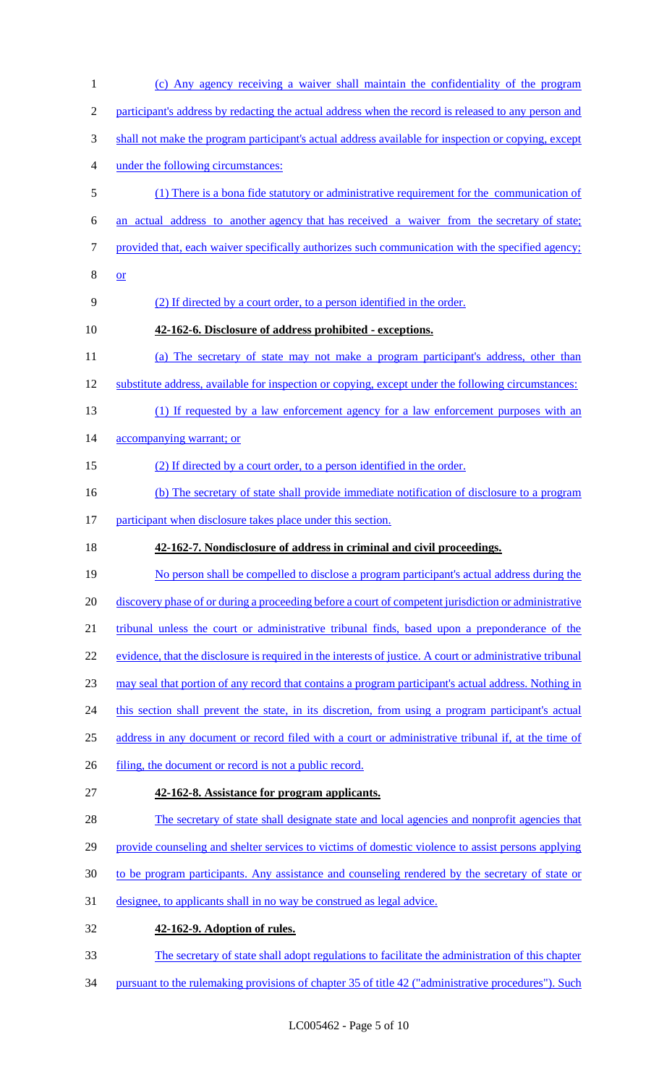(c) Any agency receiving a waiver shall maintain the confidentiality of the program participant's address by redacting the actual address when the record is released to any person and shall not make the program participant's actual address available for inspection or copying, except under the following circumstances: (1) There is a bona fide statutory or administrative requirement for the communication of an actual address to another agency that has received a waiver from the secretary of state; provided that, each waiver specifically authorizes such communication with the specified agency; or (2) If directed by a court order, to a person identified in the order. **42-162-6. Disclosure of address prohibited - exceptions.**  (a) The secretary of state may not make a program participant's address, other than substitute address, available for inspection or copying, except under the following circumstances: (1) If requested by a law enforcement agency for a law enforcement purposes with an 14 accompanying warrant; or (2) If directed by a court order, to a person identified in the order. 16 (b) The secretary of state shall provide immediate notification of disclosure to a program 17 participant when disclosure takes place under this section. **42-162-7. Nondisclosure of address in criminal and civil proceedings.**  19 No person shall be compelled to disclose a program participant's actual address during the 20 discovery phase of or during a proceeding before a court of competent jurisdiction or administrative tribunal unless the court or administrative tribunal finds, based upon a preponderance of the 22 evidence, that the disclosure is required in the interests of justice. A court or administrative tribunal may seal that portion of any record that contains a program participant's actual address. Nothing in 24 this section shall prevent the state, in its discretion, from using a program participant's actual 25 address in any document or record filed with a court or administrative tribunal if, at the time of 26 filing, the document or record is not a public record. **42-162-8. Assistance for program applicants.**  28 The secretary of state shall designate state and local agencies and nonprofit agencies that 29 provide counseling and shelter services to victims of domestic violence to assist persons applying to be program participants. Any assistance and counseling rendered by the secretary of state or designee, to applicants shall in no way be construed as legal advice. **42-162-9. Adoption of rules.**  The secretary of state shall adopt regulations to facilitate the administration of this chapter pursuant to the rulemaking provisions of chapter 35 of title 42 ("administrative procedures"). Such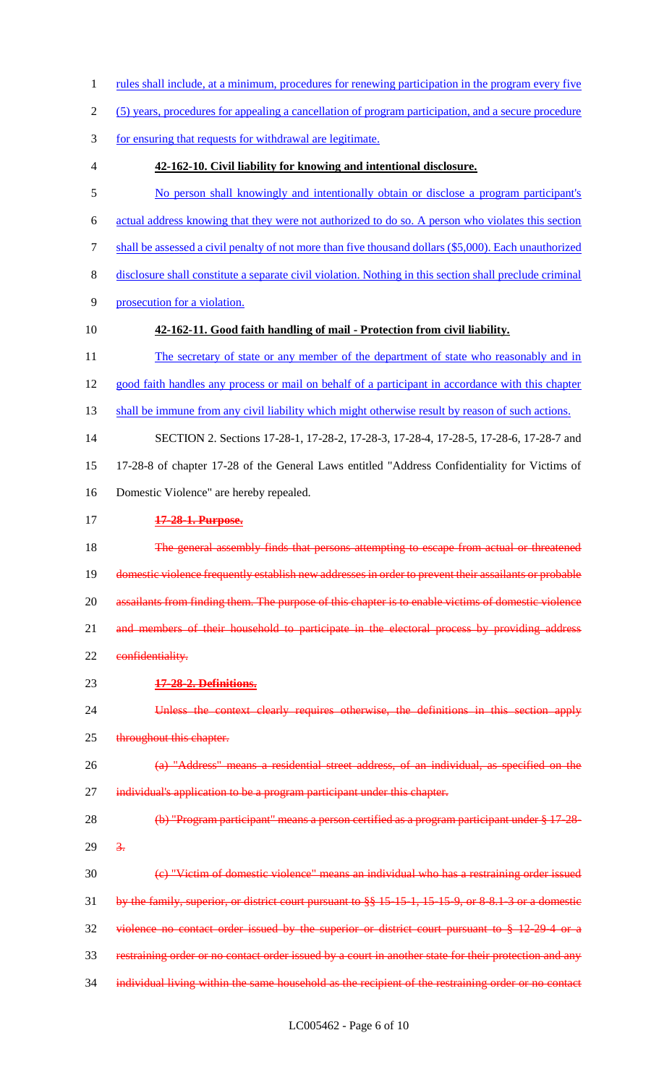- 1 rules shall include, at a minimum, procedures for renewing participation in the program every five
- (5) years, procedures for appealing a cancellation of program participation, and a secure procedure
- for ensuring that requests for withdrawal are legitimate.
- 

#### **42-162-10. Civil liability for knowing and intentional disclosure.**

- No person shall knowingly and intentionally obtain or disclose a program participant's
- actual address knowing that they were not authorized to do so. A person who violates this section
- shall be assessed a civil penalty of not more than five thousand dollars (\$5,000). Each unauthorized
- disclosure shall constitute a separate civil violation. Nothing in this section shall preclude criminal
- prosecution for a violation.
- 

## **42-162-11. Good faith handling of mail - Protection from civil liability.**

- 11 The secretary of state or any member of the department of state who reasonably and in
- good faith handles any process or mail on behalf of a participant in accordance with this chapter
- shall be immune from any civil liability which might otherwise result by reason of such actions.
- SECTION 2. Sections 17-28-1, 17-28-2, 17-28-3, 17-28-4, 17-28-5, 17-28-6, 17-28-7 and 17-28-8 of chapter 17-28 of the General Laws entitled "Address Confidentiality for Victims of
- Domestic Violence" are hereby repealed.
- **17-28-1. Purpose.**

18 The general assembly finds that persons attempting to escape from actual or threatened domestic violence frequently establish new addresses in order to prevent their assailants or probable 20 assailants from finding them. The purpose of this chapter is to enable victims of domestic violence 21 and members of their household to participate in the electoral process by providing address 22 confidentiality.

- **17-28-2. Definitions.**
- Unless the context clearly requires otherwise, the definitions in this section apply 25 throughout this chapter.
- (a) "Address" means a residential street address, of an individual, as specified on the 27 individual's application to be a program participant under this chapter.
- 28 (b) "Program participant" means a person certified as a program participant under § 17-28- $29 \frac{3}{2}$
- (c) "Victim of domestic violence" means an individual who has a restraining order issued by the family, superior, or district court pursuant to §§ 15-15-1, 15-15-9, or 8-8.1-3 or a domestic violence no contact order issued by the superior or district court pursuant to § 12-29-4 or a restraining order or no contact order issued by a court in another state for their protection and any 34 individual living within the same household as the recipient of the restraining order or no contact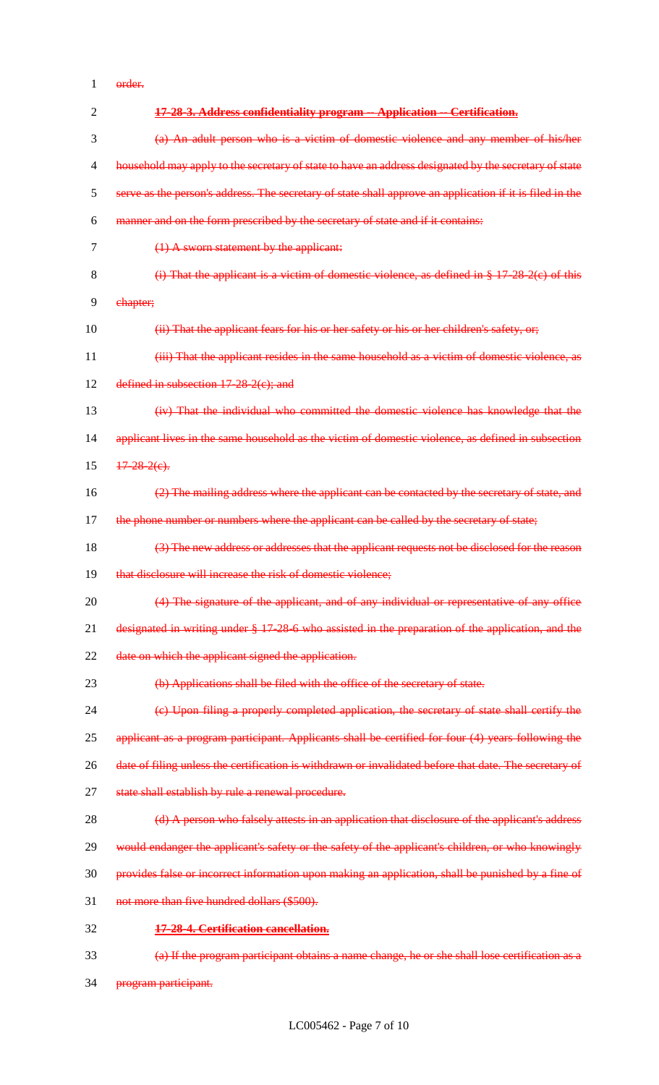order.

| $\overline{2}$ | 17-28-3. Address confidentiality program -- Application -- Certification.                                |  |  |  |  |  |  |  |  |
|----------------|----------------------------------------------------------------------------------------------------------|--|--|--|--|--|--|--|--|
| 3              | (a) An adult person who is a victim of domestic violence and any member of his/her                       |  |  |  |  |  |  |  |  |
| 4              | household may apply to the secretary of state to have an address designated by the secretary of state    |  |  |  |  |  |  |  |  |
| 5              | serve as the person's address. The secretary of state shall approve an application if it is filed in the |  |  |  |  |  |  |  |  |
| 6              | manner and on the form prescribed by the secretary of state and if it contains:                          |  |  |  |  |  |  |  |  |
| 7              | $(1)$ A sworn statement by the applicant:                                                                |  |  |  |  |  |  |  |  |
| 8              | (i) That the applicant is a victim of domestic violence, as defined in $§$ 17-28-2(c) of this            |  |  |  |  |  |  |  |  |
| 9              | chapter;                                                                                                 |  |  |  |  |  |  |  |  |
| 10             | (ii) That the applicant fears for his or her safety or his or her children's safety, or,                 |  |  |  |  |  |  |  |  |
| 11             | (iii) That the applicant resides in the same household as a victim of domestic violence, as              |  |  |  |  |  |  |  |  |
| 12             | defined in subsection $17-28-2(c)$ ; and                                                                 |  |  |  |  |  |  |  |  |
| 13             | (iv) That the individual who committed the domestic violence has knowledge that the                      |  |  |  |  |  |  |  |  |
| 14             | applicant lives in the same household as the victim of domestic violence, as defined in subsection       |  |  |  |  |  |  |  |  |
| 15             | $17 - 28 - 2(e)$ .                                                                                       |  |  |  |  |  |  |  |  |
| 16             | (2) The mailing address where the applicant can be contacted by the secretary of state, and              |  |  |  |  |  |  |  |  |
| 17             | the phone number or numbers where the applicant can be called by the secretary of state;                 |  |  |  |  |  |  |  |  |
| 18             | (3) The new address or addresses that the applicant requests not be disclosed for the reason             |  |  |  |  |  |  |  |  |
| 19             | that disclosure will increase the risk of domestic violence;                                             |  |  |  |  |  |  |  |  |
| 20             | (4) The signature of the applicant, and of any individual or representative of any office                |  |  |  |  |  |  |  |  |
| 21             | designated in writing under § 17-28-6 who assisted in the preparation of the application, and the        |  |  |  |  |  |  |  |  |
| 22             | date on which the applicant signed the application.                                                      |  |  |  |  |  |  |  |  |
| 23             | (b) Applications shall be filed with the office of the secretary of state.                               |  |  |  |  |  |  |  |  |
| 24             | (c) Upon filing a properly completed application, the secretary of state shall certify the               |  |  |  |  |  |  |  |  |
| 25             | applicant as a program participant. Applicants shall be certified for four (4) years following the       |  |  |  |  |  |  |  |  |
| 26             | date of filing unless the certification is withdrawn or invalidated before that date. The secretary of   |  |  |  |  |  |  |  |  |
| 27             | state shall establish by rule a renewal procedure.                                                       |  |  |  |  |  |  |  |  |
| 28             | (d) A person who falsely attests in an application that disclosure of the applicant's address            |  |  |  |  |  |  |  |  |
| 29             | would endanger the applicant's safety or the safety of the applicant's children, or who knowingly        |  |  |  |  |  |  |  |  |
| 30             | provides false or incorrect information upon making an application, shall be punished by a fine of       |  |  |  |  |  |  |  |  |
| 31             | not more than five hundred dollars (\$500).                                                              |  |  |  |  |  |  |  |  |
| 32             | 17-28-4. Certification cancellation.                                                                     |  |  |  |  |  |  |  |  |
| 33             | (a) If the program participant obtains a name change, he or she shall lose certification as a            |  |  |  |  |  |  |  |  |
|                |                                                                                                          |  |  |  |  |  |  |  |  |

program participant.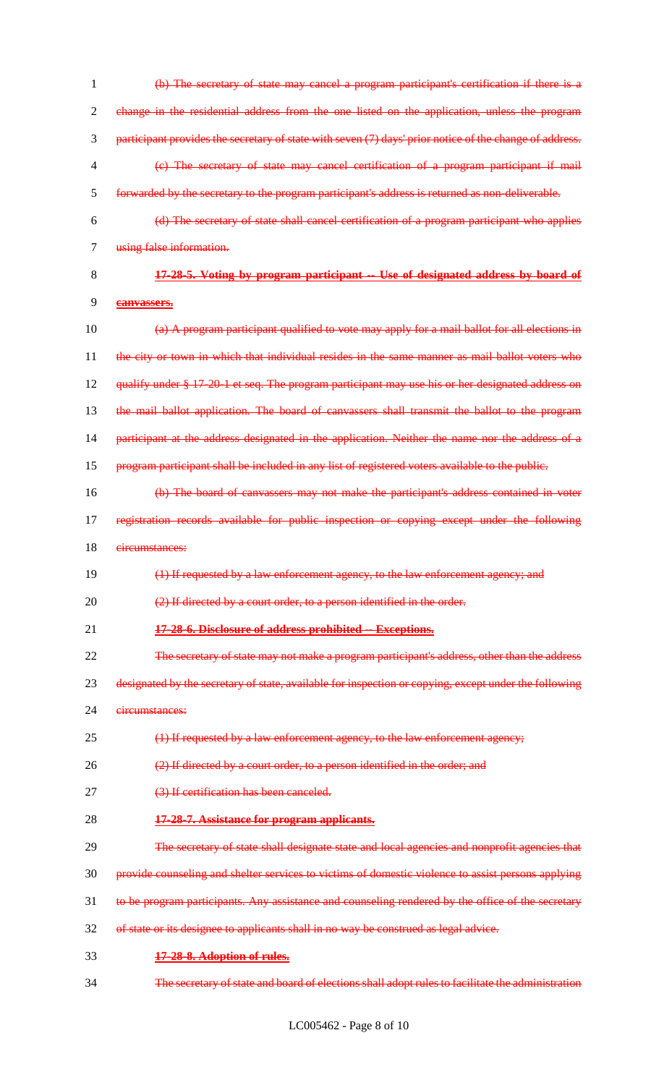(b) The secretary of state may cancel a program participant's certification if there is a change in the residential address from the one listed on the application, unless the program participant provides the secretary of state with seven (7) days' prior notice of the change of address. (c) The secretary of state may cancel certification of a program participant if mail forwarded by the secretary to the program participant's address is returned as non-deliverable. (d) The secretary of state shall cancel certification of a program participant who applies using false information. **17-28-5. Voting by program participant -- Use of designated address by board of canvassers.** 10 (a) A program participant qualified to vote may apply for a mail ballot for all elections in 11 the city or town in which that individual resides in the same manner as mail ballot voters who 12 qualify under § 17-20-1 et seq. The program participant may use his or her designated address on the mail ballot application. The board of canvassers shall transmit the ballot to the program participant at the address designated in the application. Neither the name nor the address of a program participant shall be included in any list of registered voters available to the public. (b) The board of canvassers may not make the participant's address contained in voter 17 registration records available for public inspection or copying except under the following circumstances: (1) If requested by a law enforcement agency, to the law enforcement agency; and 20 (2) If directed by a court order, to a person identified in the order. **17-28-6. Disclosure of address prohibited -- Exceptions.** The secretary of state may not make a program participant's address, other than the address designated by the secretary of state, available for inspection or copying, except under the following circumstances: 25 (1) If requested by a law enforcement agency, to the law enforcement agency; (2) If directed by a court order, to a person identified in the order; and (3) If certification has been canceled. **17-28-7. Assistance for program applicants.** 29 The secretary of state shall designate state and local agencies and nonprofit agencies that provide counseling and shelter services to victims of domestic violence to assist persons applying 31 to be program participants. Any assistance and counseling rendered by the office of the secretary of state or its designee to applicants shall in no way be construed as legal advice. **17-28-8. Adoption of rules.** The secretary of state and board of elections shall adopt rules to facilitate the administration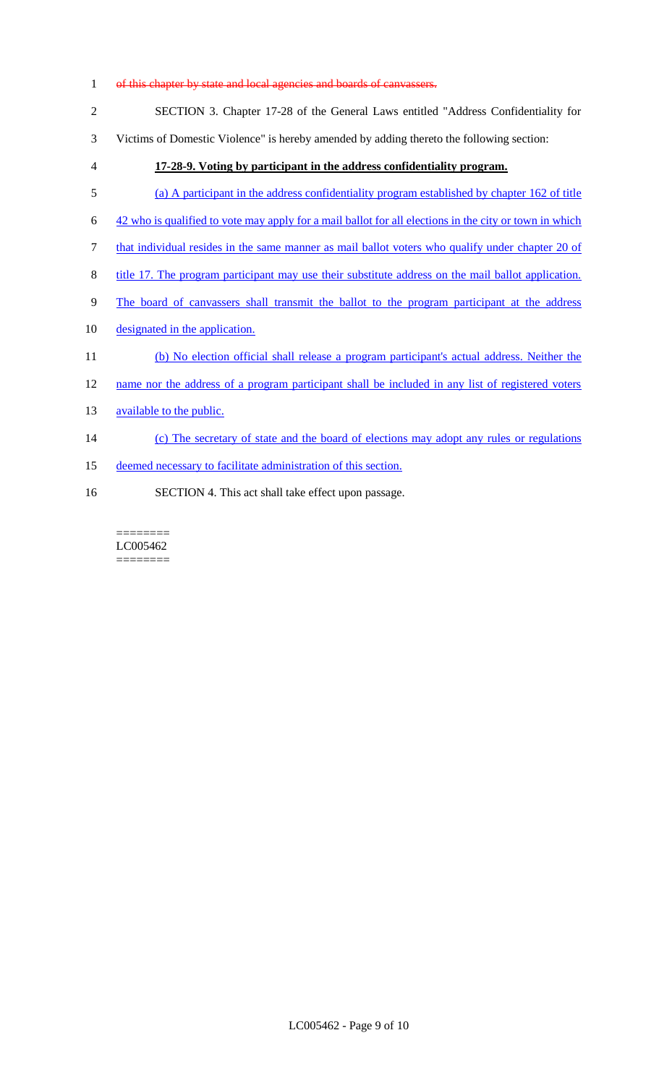1 of this chapter by state and local agencies and boards of canvassers.

|  |  |  |  | SECTION 3. Chapter 17-28 of the General Laws entitled "Address Confidentiality for |  |
|--|--|--|--|------------------------------------------------------------------------------------|--|
|  |  |  |  |                                                                                    |  |

- 3 Victims of Domestic Violence" is hereby amended by adding thereto the following section:
- 4 **17-28-9. Voting by participant in the address confidentiality program.**
- 5 (a) A participant in the address confidentiality program established by chapter 162 of title
- 6 42 who is qualified to vote may apply for a mail ballot for all elections in the city or town in which
- 7 that individual resides in the same manner as mail ballot voters who qualify under chapter 20 of
- 8 title 17. The program participant may use their substitute address on the mail ballot application.
- 9 The board of canvassers shall transmit the ballot to the program participant at the address
- 10 designated in the application.
- 11 (b) No election official shall release a program participant's actual address. Neither the
- 12 name nor the address of a program participant shall be included in any list of registered voters
- 13 available to the public.
- 14 (c) The secretary of state and the board of elections may adopt any rules or regulations
- 15 deemed necessary to facilitate administration of this section.
- 16 SECTION 4. This act shall take effect upon passage.

======== LC005462 ========